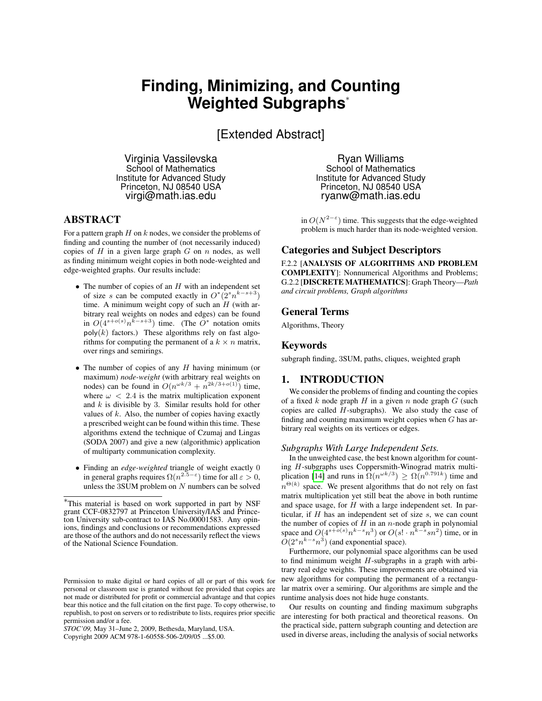# **Finding, Minimizing, and Counting Weighted Subgraphs**<sup>∗</sup>

[Extended Abstract]

Virginia Vassilevska School of Mathematics Institute for Advanced Study Princeton, NJ 08540 USA virgi@math.ias.edu

# ABSTRACT

For a pattern graph  $H$  on  $k$  nodes, we consider the problems of finding and counting the number of (not necessarily induced) copies of  $H$  in a given large graph  $G$  on  $n$  nodes, as well as finding minimum weight copies in both node-weighted and edge-weighted graphs. Our results include:

- $\bullet$  The number of copies of an  $H$  with an independent set of size s can be computed exactly in  $O^*(2<sup>s</sup> n<sup>k-s+3</sup>)$ time. A minimum weight copy of such an  $H$  (with arbitrary real weights on nodes and edges) can be found in  $O(4^{s+o(s)}n^{k-s+3})$  time. (The  $O^*$  notation omits  $poly(k)$  factors.) These algorithms rely on fast algorithms for computing the permanent of a  $k \times n$  matrix, over rings and semirings.
- The number of copies of any  $H$  having minimum (or maximum) *node-weight* (with arbitrary real weights on nodes) can be found in  $O(n^{\omega k/3} + n^{2k/3+o(1)})$  time, where  $\omega$  < 2.4 is the matrix multiplication exponent and  $k$  is divisible by 3. Similar results hold for other values of  $k$ . Also, the number of copies having exactly a prescribed weight can be found within this time. These algorithms extend the technique of Czumaj and Lingas (SODA 2007) and give a new (algorithmic) application of multiparty communication complexity.
- Finding an *edge-weighted* triangle of weight exactly 0 in general graphs requires  $\Omega(n^{2.5-\epsilon})$  time for all  $\epsilon > 0$ , unless the  $3SUM$  problem on  $N$  numbers can be solved

*STOC'09,* May 31–June 2, 2009, Bethesda, Maryland, USA.

Copyright 2009 ACM 978-1-60558-506-2/09/05 ...\$5.00.

Ryan Williams School of Mathematics Institute for Advanced Study Princeton, NJ 08540 USA ryanw@math.ias.edu

in  $O(N^{2-\epsilon})$  time. This suggests that the edge-weighted problem is much harder than its node-weighted version.

## Categories and Subject Descriptors

F.2.2 [ANALYSIS OF ALGORITHMS AND PROBLEM COMPLEXITY]: Nonnumerical Algorithms and Problems; G.2.2 [DISCRETE MATHEMATICS]: Graph Theory—*Path and circuit problems, Graph algorithms*

#### General Terms

Algorithms, Theory

## Keywords

subgraph finding, 3SUM, paths, cliques, weighted graph

## 1. INTRODUCTION

We consider the problems of finding and counting the copies of a fixed k node graph H in a given n node graph G (such copies are called  $H$ -subgraphs). We also study the case of finding and counting maximum weight copies when  $G$  has arbitrary real weights on its vertices or edges.

#### *Subgraphs With Large Independent Sets.*

In the unweighted case, the best known algorithm for counting H-subgraphs uses Coppersmith-Winograd matrix multi-plication [\[14\]](#page-8-0) and runs in  $\Omega(n^{\omega k/3}) \geq \Omega(n^{0.791k})$  time and  $n^{\Theta(k)}$  space. We present algorithms that do not rely on fast matrix multiplication yet still beat the above in both runtime and space usage, for  $H$  with a large independent set. In particular, if  $H$  has an independent set of size  $s$ , we can count the number of copies of  $H$  in an n-node graph in polynomial space and  $O(4^{s+o(s)}n^{k-s}n^3)$  or  $O(s! \cdot n^{k-s}sn^2)$  time, or in  $O(2<sup>s</sup> n<sup>k-s</sup> n<sup>3</sup>)$  (and exponential space).

Furthermore, our polynomial space algorithms can be used to find minimum weight  $H$ -subgraphs in a graph with arbitrary real edge weights. These improvements are obtained via new algorithms for computing the permanent of a rectangular matrix over a semiring. Our algorithms are simple and the runtime analysis does not hide huge constants.

Our results on counting and finding maximum subgraphs are interesting for both practical and theoretical reasons. On the practical side, pattern subgraph counting and detection are used in diverse areas, including the analysis of social networks

<sup>∗</sup>This material is based on work supported in part by NSF grant CCF-0832797 at Princeton University/IAS and Princeton University sub-contract to IAS No.00001583. Any opinions, findings and conclusions or recommendations expressed are those of the authors and do not necessarily reflect the views of the National Science Foundation.

Permission to make digital or hard copies of all or part of this work for personal or classroom use is granted without fee provided that copies are not made or distributed for profit or commercial advantage and that copies bear this notice and the full citation on the first page. To copy otherwise, to republish, to post on servers or to redistribute to lists, requires prior specific permission and/or a fee.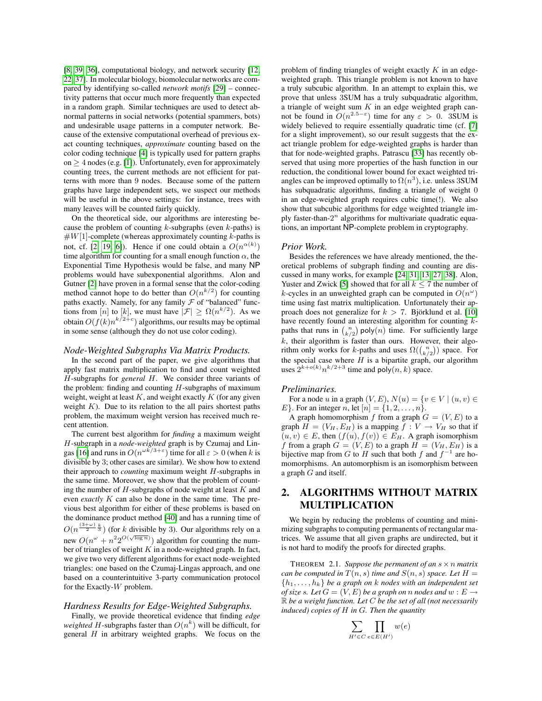[\[8,](#page-8-1) [39,](#page-9-0) [36\]](#page-9-1), computational biology, and network security [\[12,](#page-8-2) [22,](#page-9-2) [37\]](#page-9-3). In molecular biology, biomolecular networks are compared by identifying so-called *network motifs* [\[29\]](#page-9-4) – connectivity patterns that occur much more frequently than expected in a random graph. Similar techniques are used to detect abnormal patterns in social networks (potential spammers, bots) and undesirable usage patterns in a computer network. Because of the extensive computational overhead of previous exact counting techniques, *approximate* counting based on the color coding technique [\[4\]](#page-8-3) is typically used for pattern graphs on  $>$  4 nodes (e.g. [\[1\]](#page-8-4)). Unfortunately, even for approximately counting trees, the current methods are not efficient for patterns with more than 9 nodes. Because some of the pattern graphs have large independent sets, we suspect our methods will be useful in the above settings: for instance, trees with many leaves will be counted fairly quickly.

On the theoretical side, our algorithms are interesting because the problem of counting  $k$ -subgraphs (even  $k$ -paths) is  $#W[1]$ -complete (whereas approximately counting k-paths is not, cf. [\[2,](#page-8-5) [19,](#page-8-6) [6\]](#page-8-7)). Hence if one could obtain a  $O(n^{\alpha(k)})$ time algorithm for counting for a small enough function  $\alpha$ , the Exponential Time Hypothesis would be false, and many NP problems would have subexponential algorithms. Alon and Gutner [\[2\]](#page-8-5) have proven in a formal sense that the color-coding method cannot hope to do better than  $O(n^{k/2})$  for counting paths exactly. Namely, for any family  $\mathcal F$  of "balanced" functions from [n] to [k], we must have  $|\mathcal{F}| \ge \Omega(n^{k/2})$ . As we obtain  $O(f(k)n^{k/2+c})$  algorithms, our results may be optimal in some sense (although they do not use color coding).

#### *Node-Weighted Subgraphs Via Matrix Products.*

In the second part of the paper, we give algorithms that apply fast matrix multiplication to find and count weighted H-subgraphs for *general* H. We consider three variants of the problem: finding and counting  $H$ -subgraphs of maximum weight, weight at least  $K$ , and weight exactly  $K$  (for any given weight  $K$ ). Due to its relation to the all pairs shortest paths problem, the maximum weight version has received much recent attention.

The current best algorithm for *finding* a maximum weight H-subgraph in a *node-weighted* graph is by Czumaj and Lin-gas [\[16\]](#page-8-8) and runs in  $O(n^{\omega k/3 + \varepsilon})$  time for all  $\varepsilon > 0$  (when k is divisible by 3; other cases are similar). We show how to extend their approach to *counting* maximum weight H-subgraphs in the same time. Moreover, we show that the problem of counting the number of  $H$ -subgraphs of node weight at least  $K$  and even *exactly* K can also be done in the same time. The previous best algorithm for either of these problems is based on the dominance product method [\[40\]](#page-9-5) and has a running time of  $O(n^{\frac{(3+\omega)}{2}})^{\frac{k}{3}}$  (for k divisible by 3). Our algorithms rely on a new  $O(n^{\omega} + n^2 2^{O(\sqrt{\log n})})$  algorithm for counting the number of triangles of weight  $K$  in a node-weighted graph. In fact, we give two very different algorithms for exact node-weighted triangles: one based on the Czumaj-Lingas approach, and one based on a counterintuitive 3-party communication protocol for the Exactly-W problem.

#### *Hardness Results for Edge-Weighted Subgraphs.*

Finally, we provide theoretical evidence that finding *edge weighted H*-subgraphs faster than  $O(n^k)$  will be difficult, for general  $H$  in arbitrary weighted graphs. We focus on the

problem of finding triangles of weight exactly  $K$  in an edgeweighted graph. This triangle problem is not known to have a truly subcubic algorithm. In an attempt to explain this, we prove that unless 3SUM has a truly subquadratic algorithm, a triangle of weight sum  $K$  in an edge weighted graph cannot be found in  $O(n^{2.5-\epsilon})$  time for any  $\epsilon > 0$ . 3SUM is widely believed to require essentially quadratic time (cf. [\[7\]](#page-8-9) for a slight improvement), so our result suggests that the exact triangle problem for edge-weighted graphs is harder than that for node-weighted graphs. Patrascu [\[33\]](#page-9-6) has recently observed that using more properties of the hash function in our reduction, the conditional lower bound for exact weighted triangles can be improved optimally to  $\Omega(n^3)$ , i.e. unless 3SUM has subquadratic algorithms, finding a triangle of weight 0 in an edge-weighted graph requires cubic time(!). We also show that subcubic algorithms for edge weighted triangle imply faster-than- $2^n$  algorithms for multivariate quadratic equations, an important NP-complete problem in cryptography.

#### *Prior Work.*

Besides the references we have already mentioned, the theoretical problems of subgraph finding and counting are discussed in many works, for example [\[24,](#page-9-7) [31,](#page-9-8) [13,](#page-8-10) [27,](#page-9-9) [38\]](#page-9-10). Alon, Yuster and Zwick [\[5\]](#page-8-11) showed that for all  $k \le 7$  the number of k-cycles in an unweighted graph can be computed in  $O(n^{\omega})$ time using fast matrix multiplication. Unfortunately their approach does not generalize for  $k > 7$ . Björklund et al. [\[10\]](#page-8-12) have recently found an interesting algorithm for counting kpaths that runs in  $\binom{n}{k/2}$  poly $(n)$  time. For sufficiently large  $k$ , their algorithm is faster than ours. However, their algorithm only works for k-paths and uses  $\Omega(\binom{n}{k/2})$  space. For the special case where  $H$  is a bipartite graph, our algorithm uses  $2^{k+o(k)}n^{k/2+3}$  time and poly $(n, k)$  space.

#### *Preliminaries.*

For a node u in a graph  $(V, E)$ ,  $N(u) = \{v \in V \mid (u, v) \in$ *E*}. For an integer *n*, let  $[n] = \{1, 2, ..., n\}$ .

A graph homomorphism f from a graph  $G = (V, E)$  to a graph  $H = (V_H, E_H)$  is a mapping  $f : V \to V_H$  so that if  $(u, v) \in E$ , then  $(f(u), f(v)) \in E_H$ . A graph isomorphism f from a graph  $G = (V, E)$  to a graph  $H = (V_H, E_H)$  is a bijective map from G to H such that both f and  $f^{-1}$  are homomorphisms. An automorphism is an isomorphism between a graph G and itself.

# 2. ALGORITHMS WITHOUT MATRIX MULTIPLICATION

We begin by reducing the problems of counting and minimizing subgraphs to computing permanents of rectangular matrices. We assume that all given graphs are undirected, but it is not hard to modify the proofs for directed graphs.

<span id="page-1-0"></span>THEOREM 2.1. Suppose the permanent of an  $s \times n$  matrix *can be computed in*  $T(n, s)$  *time and*  $S(n, s)$  *space. Let*  $H =$  ${h_1, \ldots, h_k}$  *be a graph on k nodes with an independent set of size s.* Let  $G = (V, E)$  *be a graph on n nodes and*  $w : E \rightarrow$ R *be a weight function. Let* C *be the set of all (not necessarily induced) copies of* H *in* G*. Then the quantity*

$$
\sum_{H' \in C} \prod_{e \in E(H')} w(e)
$$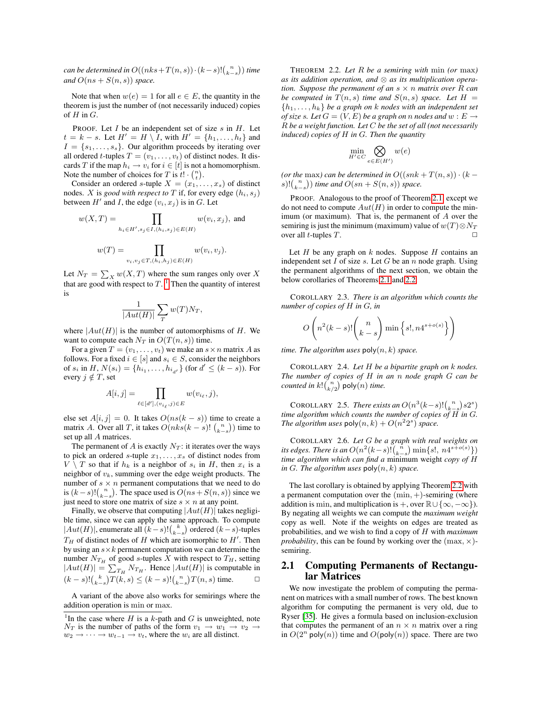*can be determined in O* $((nks+T(n,s))\cdot (k-s)!(\frac{n}{k-s}))$  *time and*  $O(ns + S(n, s))$  *space.* 

Note that when  $w(e) = 1$  for all  $e \in E$ , the quantity in the theorem is just the number of (not necessarily induced) copies of  $H$  in  $G$ .

PROOF. Let  $I$  be an independent set of size  $s$  in  $H$ . Let  $t = k - s$ . Let  $H' = H \setminus I$ , with  $H' = \{h_1, \ldots, h_t\}$  and  $I = \{s_1, \ldots, s_s\}$ . Our algorithm proceeds by iterating over all ordered t-tuples  $T = (v_1, \ldots, v_t)$  of distinct nodes. It discards T if the map  $h_i \to v_i$  for  $i \in [t]$  is not a homomorphism. Note the number of choices for T is  $t! \cdot \binom{n}{t}$ .

Consider an ordered s-tuple  $X = (x_1, \ldots, x_s)$  of distinct nodes. *X* is *good with respect to T* if, for every edge  $(h_i, s_j)$ between  $H'$  and I, the edge  $(v_i, x_j)$  is in G. Let

$$
w(X,T) = \prod_{h_i \in H', s_j \in I, (h_i, s_j) \in E(H)} w(v_i, x_j), \text{ and}
$$

$$
w(T) = \prod_{v_i, v_j \in T, (h_i, h_j) \in E(H)} w(v_i, v_j).
$$

Let  $N_T = \sum_X w(X,T)$  where the sum ranges only over X that are good with respect to  $T$ . <sup>[1](#page-2-0)</sup> Then the quantity of interest is

$$
\frac{1}{|Aut(H)|} \sum_{T} w(T) N_T,
$$

where  $|Aut(H)|$  is the number of automorphisms of H. We want to compute each  $N_T$  in  $O(T(n, s))$  time.

For a given  $T = (v_1, \ldots, v_t)$  we make an  $s \times n$  matrix A as follows. For a fixed  $i \in [s]$  and  $s_i \in S$ , consider the neighbors of  $s_i$  in  $H$ ,  $N(s_i) = \{h_{i_1}, \ldots, h_{i_{d'}}\}$  (for  $d' \leq (k - s)$ ). For every  $j \notin T$ , set

$$
A[i,j] = \prod_{\ell \in [d'], (v_{i_{\ell}},j) \in E} w(v_{i_{\ell}},j),
$$

else set  $A[i, j] = 0$ . It takes  $O(ns(k - s))$  time to create a matrix A. Over all T, it takes  $O(nks(k-s)! \binom{n}{k-s})$  time to set up all A matrices.

The permanent of A is exactly  $N_T$ : it iterates over the ways to pick an ordered s-tuple  $x_1, \ldots, x_s$  of distinct nodes from  $V \setminus T$  so that if  $h_k$  is a neighbor of  $s_i$  in H, then  $x_i$  is a neighbor of  $v_k$ , summing over the edge weight products. The number of  $s \times n$  permanent computations that we need to do is  $(k-s)!\binom{n}{k-s}$ . The space used is  $O(ns+S(n, s))$  since we just need to store one matrix of size  $s \times n$  at any point.

Finally, we observe that computing  $|Aut(H)|$  takes negligible time, since we can apply the same approach. To compute  $|Aut(H)|$ , enumerate all  $(k-s)! {k \choose k-s}$  ordered  $(k-s)$ -tuples  $T_H$  of distinct nodes of H which are isomorphic to  $H'$ . Then by using an  $s \times k$  permanent computation we can determine the number  $N_{T_H}$  of good s-tuples X with respect to  $T_H$ , setting  $|Aut(H)| = \sum_{T_H} N_{T_H}$ . Hence  $|Aut(H)|$  is computable in  $(k - s)! {k \choose k - s} T(k, s) \leq (k - s)! {n \choose k - s} T(n, s)$  time. □

A variant of the above also works for semirings where the addition operation is min or max.

THEOREM 2.2. *Let* R *be a semiring with* min *(or* max*) as its addition operation, and* ⊗ *as its multiplication operation. Suppose the permanent of an* s × n *matrix over* R *can be computed in*  $T(n, s)$  *time and*  $S(n, s)$  *space. Let*  $H =$  ${h_1, \ldots, h_k}$  *be a graph on k nodes with an independent set of size s.* Let  $G = (V, E)$  *be a graph on n nodes and*  $w : E \rightarrow$ R *be a weight function. Let* C *be the set of all (not necessarily induced) copies of* H *in* G*. Then the quantity*

$$
\min_{H' \in C} \bigotimes_{e \in E(H')} w(e)
$$

(or the max) can be determined in  $O((snk + T(n, s)) \cdot (k$ s)! $\binom{n}{k-s}$  *time and*  $O(sn + S(n, s))$  *space.* 

PROOF. Analogous to the proof of Theorem [2.1,](#page-1-0) except we do not need to compute  $Aut(H)$  in order to compute the minimum (or maximum). That is, the permanent of  $A$  over the semiring is just the minimum (maximum) value of  $w(T) \otimes N_T$ over all *t*-tuples  $T$ .

Let  $H$  be any graph on  $k$  nodes. Suppose  $H$  contains an independent set  $I$  of size  $s$ . Let  $G$  be an  $n$  node graph. Using the permanent algorithms of the next section, we obtain the below corollaries of Theorems [2.1](#page-1-0) and [2.2.](#page-2-1)

COROLLARY 2.3. *There is an algorithm which counts the number of copies of* H *in* G*, in*

$$
O\left(n^2(k-s)!\binom{n}{k-s}\min\left\{s!,n4^{s+o(s)}\right\}\right)
$$

*time. The algorithm uses*  $poly(n, k)$  *space.* 

COROLLARY 2.4. *Let* H *be a bipartite graph on* k *nodes. The number of copies of* H *in an* n *node graph* G *can be counted in k*! $\binom{n}{k/2}$  poly $(n)$  *time.* 

COROLLARY 2.5. *There exists an*  $O(n^3(k-s)!(\binom{n}{k-s})s2^s)$ *time algorithm which counts the number of copies of*  $\overrightarrow{H}$  *in G. The algorithm uses*  $poly(n, k) + O(n^2 2^s)$  *space.* 

COROLLARY 2.6. *Let* G *be a graph with real weights on its edges. There is an*  $O(n^2(k-s)!(\binom{n}{k-s})\min\{s!,\,n4^{s+o(s)}\})$ *time algorithm which can find a* minimum weight *copy of* H *in* G*. The algorithm uses* poly(n, k) *space.*

The last corollary is obtained by applying Theorem [2.2](#page-2-1) with a permanent computation over the  $(min, +)$ -semiring (where addition is min, and multiplication is +, over  $\mathbb{R}\cup\{\infty,-\infty\}$ . By negating all weights we can compute the *maximum weight* copy as well. Note if the weights on edges are treated as probabilities, and we wish to find a copy of H with *maximum probability*, this can be found by working over the  $(\max, \times)$ semiring.

## 2.1 Computing Permanents of Rectangular Matrices

We now investigate the problem of computing the permanent on matrices with a small number of rows. The best known algorithm for computing the permanent is very old, due to Ryser [\[35\]](#page-9-11). He gives a formula based on inclusion-exclusion that computes the permanent of an  $n \times n$  matrix over a ring in  $O(2^n \text{ poly}(n))$  time and  $O(\text{poly}(n))$  space. There are two

<span id="page-2-1"></span><span id="page-2-0"></span><sup>&</sup>lt;sup>1</sup>In the case where H is a k-path and G is unweighted, note  $N_T$  is the number of paths of the form  $v_1 \rightarrow w_1 \rightarrow v_2$  $w_2 \rightarrow \cdots \rightarrow w_{t-1} \rightarrow v_t$ , where the  $w_i$  are all distinct.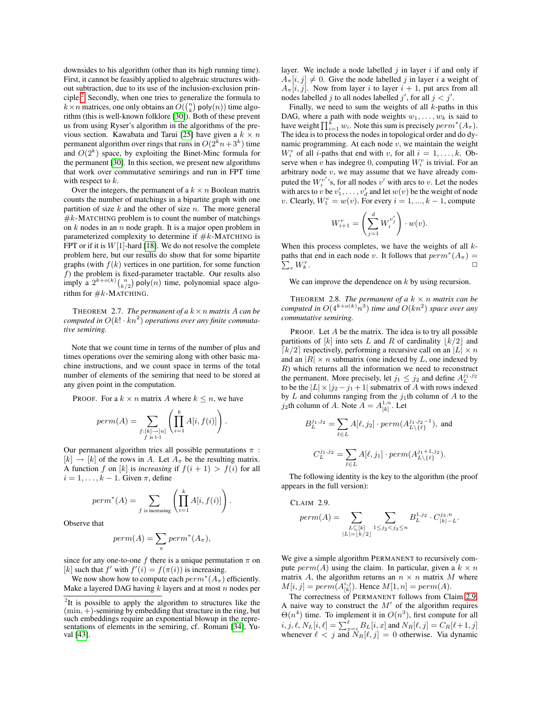downsides to his algorithm (other than its high running time). First, it cannot be feasibly applied to algebraic structures without subtraction, due to its use of the inclusion-exclusion principle.[2](#page-3-0) Secondly, when one tries to generalize the formula to  $k \times n$  matrices, one only obtains an  $O(\binom{n}{k}$  poly $(n)$ ) time algorithm (this is well-known folklore [\[30\]](#page-9-12)). Both of these prevent us from using Ryser's algorithm in the algorithms of the pre-vious section. Kawabata and Tarui [\[25\]](#page-9-13) have given a  $k \times n$ permanent algorithm over rings that runs in  $O(2^k n + 3^k)$  time and  $O(2<sup>k</sup>)$  space, by exploiting the Binet-Minc formula for the permanent [\[30\]](#page-9-12). In this section, we present new algorithms that work over commutative semirings and run in FPT time with respect to  $k$ .

Over the integers, the permanent of a  $k \times n$  Boolean matrix counts the number of matchings in a bipartite graph with one partition of size  $k$  and the other of size  $n$ . The more general  $#k$ -MATCHING problem is to count the number of matchings on  $k$  nodes in an  $n$  node graph. It is a major open problem in parameterized complexity to determine if  $#k$ -MATCHING is FPT or if it is  $W[1]$ -hard [\[18\]](#page-8-13). We do not resolve the complete problem here, but our results do show that for some bipartite graphs (with  $f(k)$  vertices in one partition, for some function  $f$ ) the problem is fixed-parameter tractable. Our results also imply a  $2^{k+o(k)} \binom{n}{k/2}$  poly $(n)$  time, polynomial space algorithm for  $#k$ -MATCHING.

THEOREM 2.7. *The permanent of a*  $k \times n$  *matrix* A *can be computed in*  $O(k! \cdot kn^2)$  *operations over any finite commutative semiring.*

Note that we count time in terms of the number of plus and times operations over the semiring along with other basic machine instructions, and we count space in terms of the total number of elements of the semiring that need to be stored at any given point in the computation.

PROOF. For a  $k \times n$  matrix A where  $k \leq n$ , we have

$$
perm(A) = \sum_{\substack{f:[k] \to [n] \\ f \text{ is } 1 \cdot 1}} \left( \prod_{i=1}^k A[i, f(i)] \right).
$$

Our permanent algorithm tries all possible permutations  $\pi$ :  $[k] \rightarrow [k]$  of the rows in A. Let  $A_{\pi}$  be the resulting matrix. A function f on [k] is *increasing* if  $f(i + 1) > f(i)$  for all  $i = 1, \ldots, k - 1$ . Given  $\pi$ , define

$$
perm^*(A) = \sum_{f \text{ is increasing}} \left( \prod_{i=1}^k A[i, f(i)] \right).
$$

Observe that

$$
perm(A) = \sum_{\pi} perm^*(A_{\pi}),
$$

since for any one-to-one f there is a unique permutation  $\pi$  on [k] such that  $f'$  with  $f'(i) = f(\pi(i))$  is increasing.

We now show how to compute each  $perm^*(A_\pi)$  efficiently. Make a layered DAG having  $k$  layers and at most  $n$  nodes per layer. We include a node labelled  $i$  in layer  $i$  if and only if  $A_{\pi}[i, j] \neq 0$ . Give the node labelled j in layer i a weight of  $A_{\pi}[i, j]$ . Now from layer i to layer  $i + 1$ , put arcs from all nodes labelled j to all nodes labelled j', for all  $j < j'$ .

Finally, we need to sum the weights of all  $k$ -paths in this DAG, where a path with node weights  $w_1, \ldots, w_k$  is said to have weight  $\prod_{i=1}^{k} w_i$ . Note this sum is precisely  $perm^*(A_\pi)$ . The idea is to process the nodes in topological order and do dynamic programming. At each node  $v$ , we maintain the weight  $W_i^v$  of all *i*-paths that end with v, for all  $i = 1, ..., k$ . Observe when  $\hat{v}$  has indegree 0, computing  $W_i^v$  is trivial. For an arbitrary node  $v$ , we may assume that we have already computed the  $W_i^{v'}$ 's, for all nodes v' with arcs to v. Let the nodes with arcs to v be  $v'_1, \ldots, v'_d$  and let  $w(v)$  be the weight of node v. Clearly,  $W_1^v = w(v)$ . For every  $i = 1, ..., k - 1$ , compute

$$
W_{i+1}^v = \left(\sum_{j=1}^d W_i^{v'_j}\right) \cdot w(v).
$$

When this process completes, we have the weights of all  $k$ paths that end in each node v. It follows that  $perm^*(A_\pi) =$  $\sum_{v} W_{k}^{v}$  $k \cdot$ 

We can improve the dependence on  $k$  by using recursion.

<span id="page-3-2"></span>THEOREM 2.8. *The permanent of a*  $k \times n$  *matrix can be computed in*  $O(4^{k+o(k)}n^3)$  *time and*  $O(kn^2)$  *space over any commutative semiring.*

PROOF. Let  $A$  be the matrix. The idea is to try all possible partitions of [k] into sets L and R of cardinality  $\lfloor k/2 \rfloor$  and  $\lceil k/2 \rceil$  respectively, performing a recursive call on an  $|L| \times n$ and an  $|R| \times n$  submatrix (one indexed by L, one indexed by R) which returns all the information we need to reconstruct the permanent. More precisely, let  $j_1 \leq j_2$  and define  $A_L^{j_1, j_2}$ to be the  $|L| \times |j_2 - j_1 + 1|$  submatrix of A with rows indexed by L and columns ranging from the  $j_1$ th column of A to the  $j_2$ th column of A. Note  $A = A_{[k]}^{1,n}$ . Let

$$
B_L^{j_1,j_2} = \sum_{\ell \in L} A[\ell, j_2] \cdot perm(A_{L \setminus \{\ell\}}^{j_1,j_2-1}), \text{ and}
$$
  

$$
C_L^{j_1,j_2} = \sum_{\ell \in L} A[\ell, j_1] \cdot perm(A_{L \setminus \{\ell\}}^{j_1+1,j_2}).
$$

The following identity is the key to the algorithm (the proof appears in the full version):

<span id="page-3-1"></span>CLAIM 2.9.

$$
perm(A) = \sum_{\substack{L \subseteq [k] \\ |L| = \lfloor k/2 \rfloor}} \sum_{1 \le j_2 < j_3 \le n} B_L^{1,j_2} \cdot C_{|k|-L}^{j_3,n}.
$$

We give a simple algorithm PERMANENT to recursively compute  $perm(A)$  using the claim. In particular, given a  $k \times n$ matrix A, the algorithm returns an  $n \times n$  matrix M where  $M[i, j] = perm(A_{[k]}^{i, j})$ . Hence  $M[1, n] = perm(A)$ .

The correctness of PERMANENT follows from Claim [2.9.](#page-3-1) A naive way to construct the  $M'$  of the algorithm requires  $\Theta(n^4)$  time. To implement it in  $O(n^3)$ , first compute for all  $i,j,\ell, N_L[i,\ell] = \sum_{x=i}^\ell B_L[i,x]$  and  $N_R[\ell,j] = C_R[\ell+1,j]$ whenever  $\ell < j$  and  $N_R[\ell, j] = 0$  otherwise. Via dynamic

<span id="page-3-0"></span> $2$ It is possible to apply the algorithm to structures like the  $(\min, +)$ -semiring by embedding that structure in the ring, but such embeddings require an exponential blowup in the representations of elements in the semiring, cf. Romani [\[34\]](#page-9-14), Yuval [\[43\]](#page-9-15).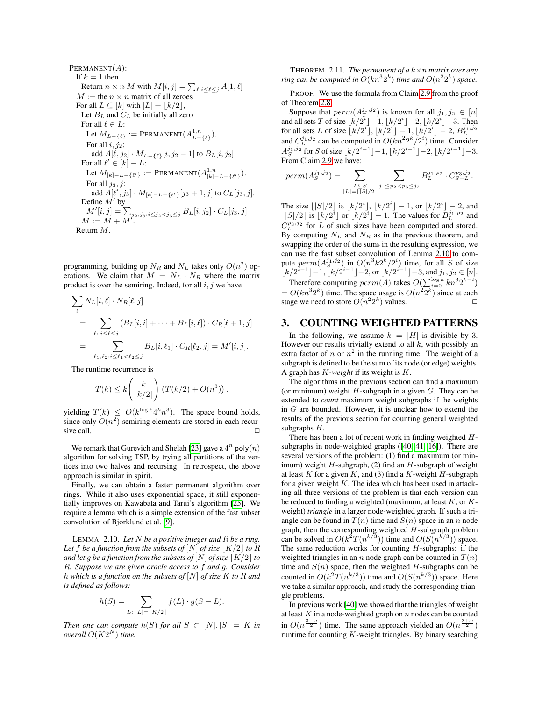PERMANENT(A):  
\nIf 
$$
k = 1
$$
 then  
\nReturn  $n \times n$  M with  $M[i, j] = \sum_{\ell : i \leq \ell \leq j} A[1, \ell]$   
\n $M :=$  the  $n \times n$  matrix of all zeroes  
\nFor all  $L \subseteq [k]$  with  $|L| = \lfloor k/2 \rfloor$ ,  
\nLet  $B_L$  and  $C_L$  be initially all zero  
\nFor all  $\ell \in L$ :  
\nLet  $M_{L-\{\ell\}} :=$  PERMANENT $(A_{L-\{\ell\}}^{1,n})$ .  
\nFor all  $i, j_2$ :  
\nadd  $A[\ell, j_2] \cdot M_{L-\{\ell\}}[i, j_2 - 1]$  to  $B_L[i, j_2]$ .  
\nFor all  $\ell' \in [k] - L$ :  
\nLet  $M_{[k]-L-\{\ell'\}} :=$  PERMANENT $(A_{[k]}^{1,n} - L_{\{\ell'\}})$ .  
\nFor all  $j_3, j$ :  
\nadd  $A[\ell', j_3] \cdot M_{[k]-L-\{\ell'\}}[j_3 + 1, j]$  to  $C_L[j_3, j]$ .  
\nDefine  $M'$  by  
\n $M'[i, j] = \sum_{j_2, j_3 : i \leq j_2 < j_3 \leq j} B_L[i, j_2] \cdot C_L[j_3, j]$   
\n $M := M + M'$ .  
\nReturn M.

programming, building up  $N_R$  and  $N_L$  takes only  $O(n^2)$  operations. We claim that  $M = N_L \cdot N_R$  where the matrix product is over the semiring. Indeed, for all  $i, j$  we have

$$
\sum_{\ell} N_L[i, \ell] \cdot N_R[\ell, j] \n= \sum_{\ell: \ i \leq \ell \leq j} (B_L[i, i] + \dots + B_L[i, \ell]) \cdot C_R[\ell + 1, j] \n= \sum_{\ell_1, \ell_2: i \leq \ell_1 < \ell_2 \leq j} B_L[i, \ell_1] \cdot C_R[\ell_2, j] = M'[i, j].
$$

The runtime recurrence is

$$
T(k) \leq k \binom{k}{\lceil k/2 \rceil} \left( T(k/2) + O(n^3) \right),
$$

yielding  $T(k) \leq O(k^{\log k} 4^k n^3)$ . The space bound holds, since only  $O(n^2)$  semiring elements are stored in each recursive call.  $\Box$ 

We remark that Gurevich and Shelah [\[23\]](#page-9-16) gave a  $4^n$  poly $(n)$ algorithm for solving TSP, by trying all partitions of the vertices into two halves and recursing. In retrospect, the above approach is similar in spirit.

Finally, we can obtain a faster permanent algorithm over rings. While it also uses exponential space, it still exponentially improves on Kawabata and Tarui's algorithm [\[25\]](#page-9-13). We require a lemma which is a simple extension of the fast subset convolution of Bjorklund et al. [\[9\]](#page-8-14).

<span id="page-4-0"></span>LEMMA 2.10. *Let* N *be a positive integer and* R *be a ring.* Let f be a function from the subsets of  $[N]$  of size  $|K/2|$  to R *and let g be a function from the subsets of*  $[N]$  *of size*  $\lceil K/2 \rceil$  *to* R*. Suppose we are given oracle access to* f *and* g*. Consider* h *which is a function on the subsets of* [N] *of size* K *to* R *and is defined as follows:*

$$
h(S) = \sum_{L\colon |L| = \lfloor K/2 \rfloor} f(L) \cdot g(S - L).
$$

*Then one can compute*  $h(S)$  *for all*  $S \subset [N], |S| = K$  *in overall*  $O(K2^N)$  *time.* 

THEOREM 2.11. *The permanent of a*  $k \times n$  *matrix over any ring can be computed in*  $O(kn^32^k)$  *time and*  $O(n^22^k)$  *space.* 

PROOF. We use the formula from Claim [2.9](#page-3-1) from the proof of Theorem [2.8.](#page-3-2)

Suppose that  $perm(A_T^{j_1,j_2})$  is known for all  $j_1, j_2 \in [n]$ and all sets T of size  $\lfloor k/2^i \rfloor - 1$ ,  $\lfloor k/2^i \rfloor - 2$ ,  $\lfloor k/2^i \rfloor - 3$ . Then for all sets L of size  $\bar{k}/2^i$ ,  $\bar{k}/2^i$  – 1,  $\bar{k}/2^i$  – 2,  $B_L^{j_1,j_2}$ and  $C_L^{j_1,j_2}$  can be computed in  $O(kn^22^k/2^i)$  time. Consider  $A_S^{j_1,j_2}$  for  $S$  of size  $\lfloor k/2^{i-1} \rfloor -1, \lfloor k/2^{i-1} \rfloor -2, \lfloor k/2^{i-1} \rfloor -3.$ From Claim [2.9](#page-3-1) we have:

$$
perm(A_S^{j_1,j_2}) = \sum_{\substack{L \subseteq S \\ |L| = |S|/2}} \sum_{j_1 \le p_2 < p_3 \le j_2} B_L^{j_1,p_2} \cdot C_{S-L}^{p_3,j_2}.
$$

The size  $\lfloor |S|/2 \rfloor$  is  $\lfloor k/2^i \rfloor$ ,  $\lfloor k/2^i \rfloor - 1$ , or  $\lfloor k/2^i \rfloor - 2$ , and  $\lceil |S|/2 \rceil$  is  $\lfloor k/2^i \rfloor$  or  $\lfloor k/2^i \rfloor - 1$ . The values for  $B_L^{j_1, p_2}$  and  $C_L^{p_3,j_2}$  for L of such sizes have been computed and stored. By computing  $N_L$  and  $N_R$  as in the previous theorem, and swapping the order of the sums in the resulting expression, we can use the fast subset convolution of Lemma [2.10](#page-4-0) to compute  $perm(A_S^{j_1,j_2})$  in  $O(n^3k2^k/2^i)$  time, for all S of size  $\lfloor k/2^{i-1} \rfloor - 1, \lfloor k/2^{i-1} \rfloor - 2, \text{or } \lfloor k/2^{i-1} \rfloor - 3, \text{ and } j_1, j_2 \in [n].$ 

Therefore computing  $perm(A)$  takes  $O(\sum_{i=0}^{\log k} k n^3 2^{k-i})$  $= O(kn^3 2^k)$  time. The space usage is  $O(n^2 2^k)$  since at each stage we need to store  $O(n^2 2^k)$  values.

## 3. COUNTING WEIGHTED PATTERNS

In the following, we assume  $k = |H|$  is divisible by 3. However our results trivially extend to all  $k$ , with possibly an extra factor of n or  $n^2$  in the running time. The weight of a subgraph is defined to be the sum of its node (or edge) weights. A graph has K*-weight* if its weight is K.

The algorithms in the previous section can find a maximum (or minimum) weight  $H$ -subgraph in a given  $G$ . They can be extended to *count* maximum weight subgraphs if the weights in G are bounded. However, it is unclear how to extend the results of the previous section for counting general weighted subgraphs H.

There has been a lot of recent work in finding weighted Hsubgraphs in node-weighted graphs ([\[40,](#page-9-5) [41,](#page-9-17) [16\]](#page-8-8)). There are several versions of the problem: (1) find a maximum (or minimum) weight  $H$ -subgraph, (2) find an  $H$ -subgraph of weight at least K for a given K, and (3) find a K-weight H-subgraph for a given weight  $K$ . The idea which has been used in attacking all three versions of the problem is that each version can be reduced to finding a weighted (maximum, at least  $K$ , or  $K$ weight) *triangle* in a larger node-weighted graph. If such a triangle can be found in  $T(n)$  time and  $S(n)$  space in an n node graph, then the corresponding weighted  $H$ -subgraph problem can be solved in  $O(k^2T(n^{k/3}))$  time and  $O(S(n^{k/3}))$  space. The same reduction works for counting  $H$ -subgraphs: if the weighted triangles in an *n* node graph can be counted in  $T(n)$ time and  $S(n)$  space, then the weighted H-subgraphs can be counted in  $O(k^2T(n^{k/3}))$  time and  $O(S(n^{k/3}))$  space. Here we take a similar approach, and study the corresponding triangle problems.

In previous work [\[40\]](#page-9-5) we showed that the triangles of weight at least  $K$  in a node-weighted graph on  $n$  nodes can be counted in  $O(n^{\frac{3+\omega}{2}})$  time. The same approach yielded an  $O(n^{\frac{3+\omega}{2}})$ runtime for counting  $K$ -weight triangles. By binary searching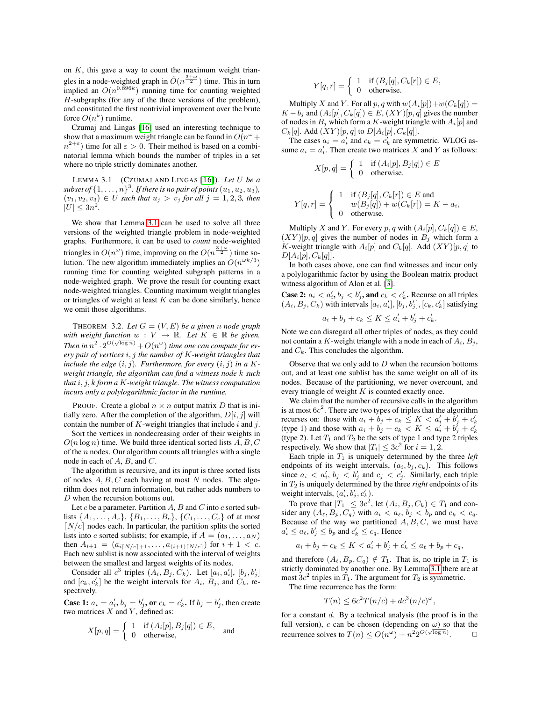on  $K$ , this gave a way to count the maximum weight triangles in a node-weighted graph in  $\tilde{O}(n^{\frac{3+\omega}{2}})$  time. This in turn implied an  $O(n^{0.896k})$  running time for counting weighted H-subgraphs (for any of the three versions of the problem), and constituted the first nontrivial improvement over the brute force  $O(n^k)$  runtime.

Czumaj and Lingas [\[16\]](#page-8-8) used an interesting technique to show that a maximum weight triangle can be found in  $O(n^{\omega} +$  $n^{2+\epsilon}$ ) time for all  $\epsilon > 0$ . Their method is based on a combinatorial lemma which bounds the number of triples in a set where no triple strictly dominates another.

LEMMA 3.1 (CZUMAJ AND LINGAS [\[16\]](#page-8-8)). *Let* U *be a* subset of  $\{1,\ldots,n\}^3$ . If there is no pair of points  $(u_1, u_2, u_3)$ ,  $(v_1, v_2, v_3) \in U$  *such that*  $u_j > v_j$  *for all*  $j = 1, 2, 3$ *, then*  $|U| \leq 3n^2$ .

We show that Lemma [3.1](#page-5-0) can be used to solve all three versions of the weighted triangle problem in node-weighted graphs. Furthermore, it can be used to *count* node-weighted triangles in  $O(n^{\omega})$  time, improving on the  $O(n^{\frac{3+\omega}{2}})$  time solution. The new algorithm immediately implies an  $O(n^{\omega k/3})$ running time for counting weighted subgraph patterns in a node-weighted graph. We prove the result for counting exact node-weighted triangles. Counting maximum weight triangles or triangles of weight at least  $K$  can be done similarly, hence we omit those algorithms.

<span id="page-5-1"></span>THEOREM 3.2. Let  $G = (V, E)$  be a given *n* node graph with weight function  $w: V \to \mathbb{R}$ . Let  $K \in \mathbb{R}$  be given. Then in  $n^2 \cdot 2^{O(\sqrt{\log n})} + O(n^\omega)$  time one can compute for ev*ery pair of vertices* i, j *the number of* K*-weight triangles that include the edge*  $(i, j)$ *. Furthermore, for every*  $(i, j)$  *in a Kweight triangle, the algorithm can find a witness node* k *such that* i, j, k *form a* K*-weight triangle. The witness computation incurs only a polylogarithmic factor in the runtime.*

PROOF. Create a global  $n \times n$  output matrix D that is initially zero. After the completion of the algorithm,  $D[i, j]$  will contain the number of  $K$ -weight triangles that include  $i$  and  $j$ .

Sort the vertices in nondecreasing order of their weights in  $O(n \log n)$  time. We build three identical sorted lists  $A, B, C$ of the  $n$  nodes. Our algorithm counts all triangles with a single node in each of A, B, and C.

The algorithm is recursive, and its input is three sorted lists of nodes  $A, B, C$  each having at most N nodes. The algorithm does not return information, but rather adds numbers to D when the recursion bottoms out.

Let c be a parameter. Partition  $A$ ,  $B$  and  $C$  into c sorted sublists  $\{A_1, \ldots, A_c\}, \{B_1, \ldots, B_c\}, \{C_1, \ldots, C_c\}$  of at most  $\lceil N/c \rceil$  nodes each. In particular, the partition splits the sorted lists into c sorted sublists; for example, if  $A = (a_1, \ldots, a_N)$ then  $A_{i+1} = (a_{i\lceil N/c \rceil+1}, \ldots, a_{(i+1)\lceil N/c \rceil})$  for  $i+1 < c$ . Each new sublist is now associated with the interval of weights between the smallest and largest weights of its nodes.

Consider all  $c^3$  triples  $(A_i, B_j, C_k)$ . Let  $[a_i, a'_i]$ ,  $[b_j, b'_j]$ and  $[c_k, c'_k]$  be the weight intervals for  $A_i$ ,  $B_j$ , and  $C_k$ , respectively.

**Case 1:**  $a_i = a'_i$ ,  $b_j = b'_j$ , or  $c_k = c'_k$ . If  $b_j = b'_j$ , then create two matrices  $X$  and  $Y$ , defined as:

$$
X[p,q] = \begin{cases} 1 & \text{if } (A_i[p], B_j[q]) \in E, \\ 0 & \text{otherwise,} \end{cases} \text{ and}
$$

$$
Y[q,r] = \begin{cases} 1 & \text{if } (B_j[q], C_k[r]) \in E, \\ 0 & \text{otherwise.} \end{cases}
$$

Multiply X and Y. For all p, q with  $w(A_i[p])+w(C_k[q]) =$  $K-b_i$  and  $(A_i[p], C_k[q]) \in E$ ,  $(XY)[p, q]$  gives the number of nodes in  $B_j$  which form a K-weight triangle with  $A_i[p]$  and  $C_k[q]$ . Add  $(XY)[p, q]$  to  $D[A_i[p], C_k[q]]$ .

<span id="page-5-0"></span>The cases  $a_i = a'_i$  and  $c_k = c'_k$  are symmetric. WLOG assume  $a_i = a'_i$ . Then create two matrices X and Y as follows:

$$
X[p,q] = \begin{cases} 1 & \text{if } (A_i[p], B_j[q]) \in E \\ 0 & \text{otherwise.} \end{cases}
$$

$$
Y[q,r] = \begin{cases} 1 & \text{if } (B_j[q], C_k[r]) \in E \text{ and} \\ w(B_j[q]) + w(C_k[r]) = K - a_i, \\ 0 & \text{otherwise.} \end{cases}
$$

Multiply X and Y. For every p, q with  $(A_i[p], C_k[q]) \in E$ ,  $(XY)[p, q]$  gives the number of nodes in  $B_j$  which form a K-weight triangle with  $A_i[p]$  and  $C_k[q]$ . Add  $(XY)[p, q]$  to  $D[A_i[p], C_k[q]].$ 

In both cases above, one can find witnesses and incur only a polylogarithmic factor by using the Boolean matrix product witness algorithm of Alon et al. [\[3\]](#page-8-15).

**Case 2:**  $a_i < a'_i$ ,  $b_j < b'_j$ , and  $c_k < c'_k$ . Recurse on all triples  $(A_i, B_j, C_k)$  with intervals  $[a_i, a'_i], [b_j, b'_j], [c_k, c'_k]$  satisfying  $a_i + b_j + c_k \leq K \leq a'_i + b'_j + c'_k.$ 

Note we can disregard all other triples of nodes, as they could  
not certain. 
$$
K
$$
 weighted triangle with a real line of  $A$ ,  $B$ 

not contain a K-weight triangle with a node in each of  $A_i$ ,  $B_j$ , and  $C_k$ . This concludes the algorithm.

Observe that we only add to  $D$  when the recursion bottoms out, and at least one sublist has the same weight on all of its nodes. Because of the partitioning, we never overcount, and every triangle of weight  $K$  is counted exactly once.

We claim that the number of recursive calls in the algorithm is at most  $6c^2$ . There are two types of triples that the algorithm recurses on: those with  $a_i + b_j + c_k \le K < a'_i + b'_j + c'_k$ <br>(type 1) and those with  $a_i + b_j + c_k < K \le a'_i + b'_j + c'_k$ (type 2). Let  $T_1$  and  $T_2$  be the sets of type 1 and type 2 triples respectively. We show that  $|T_i| \leq 3c^2$  for  $i = 1, 2$ .

Each triple in  $T_1$  is uniquely determined by the three *left* endpoints of its weight intervals,  $(a_i, b_j, c_k)$ . This follows since  $a_i < a'_i$ ,  $b_j < b'_j$  and  $c_j < c'_j$ . Similarly, each triple in T<sup>2</sup> is uniquely determined by the three *right* endpoints of its weight intervals,  $(a'_i, b'_j, c'_k)$ .

To prove that  $|T_1| \leq 3c^2$ , let  $(A_i, B_j, C_k) \in T_1$  and consider any  $(A_\ell, B_p, C_q)$  with  $a_i < a_\ell, b_j < b_p$  and  $c_k < c_q$ . Because of the way we partitioned  $A, B, C$ , we must have  $a'_i \le a_\ell, b'_j \le b_p$  and  $c'_k \le c_q$ . Hence

$$
a_i + b_j + c_k \le K < a'_i + b'_j + c'_k \le a_\ell + b_p + c_q,
$$

and therefore  $(A_{\ell}, B_p, C_q) \notin T_1$ . That is, no triple in  $T_1$  is strictly dominated by another one. By Lemma [3.1](#page-5-0) there are at most  $3c^2$  triples in  $T_1$ . The argument for  $T_2$  is symmetric.

The time recurrence has the form:

$$
T(n) \le 6c^2 T(n/c) + dc^3(n/c)^{\omega},
$$

for a constant  $d$ . By a technical analysis (the proof is in the full version), c can be chosen (depending on  $\omega$ ) so that the recurrence solves to  $T(n) \le O(n^{\omega}) + n^2 2^{O(\sqrt{\log n})}$  $\Box$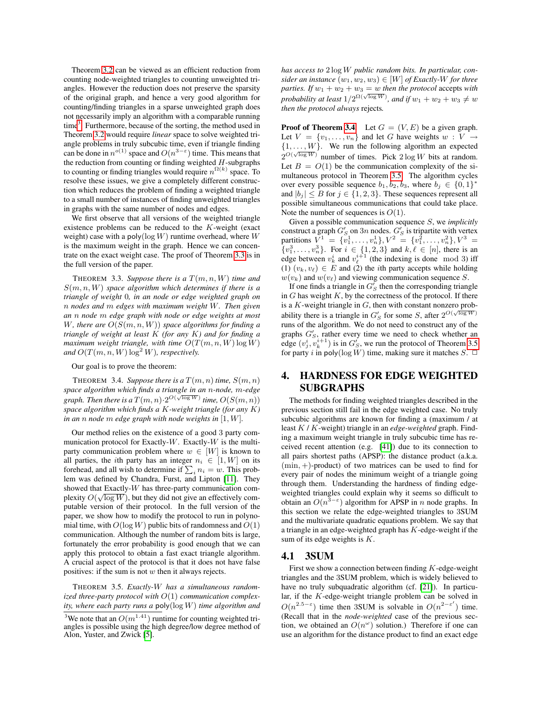Theorem [3.2](#page-5-1) can be viewed as an efficient reduction from counting node-weighted triangles to counting unweighted triangles. However the reduction does not preserve the sparsity of the original graph, and hence a very good algorithm for counting/finding triangles in a sparse unweighted graph does not necessarily imply an algorithm with a comparable running time<sup>[3](#page-6-0)</sup>. Furthermore, because of the sorting, the method used in Theorem [3.2](#page-5-1) would require *linear* space to solve weighted triangle problems in truly subcubic time, even if triangle finding can be done in  $n^{o(1)}$  space and  $O(n^{3-\epsilon})$  time. This means that the reduction from counting or finding weighted  $H$ -subgraphs to counting or finding triangles would require  $n^{\Omega(k)}$  space. To resolve these issues, we give a completely different construction which reduces the problem of finding a weighted triangle to a small number of instances of finding unweighted triangles in graphs with the same number of nodes and edges.

We first observe that all versions of the weighted triangle existence problems can be reduced to the K-weight (exact weight) case with a poly( $log W$ ) runtime overhead, where W is the maximum weight in the graph. Hence we can concentrate on the exact weight case. The proof of Theorem [3.3](#page-6-1) is in the full version of the paper.

<span id="page-6-1"></span>THEOREM 3.3. Suppose there is a  $T(m, n, W)$  time and S(m, n, W) *space algorithm which determines if there is a triangle of weight* 0*, in an node or edge weighted graph on* n *nodes and* m *edges with maximum weight* W*. Then given an* n *node* m *edge graph with node or edge weights at most* W*, there are* O(S(m, n, W)) *space algorithms for finding a triangle of weight at least* K *(for any* K*) and for finding a maximum weight triangle, with time*  $O(T(m, n, W) \log W)$ *and*  $O(T(m, n, W) \log^2 W)$ *, respectively.* 

Our goal is to prove the theorem:

THEOREM 3.4. *Suppose there is a*  $T(m, n)$  *time,*  $S(m, n)$ *space algorithm which finds a triangle in an* n*-node,* m*-edge* √ graph. Then there is a  $T(m, n) \cdot 2^{O(\sqrt{\log W})}$  time,  $O(S(m, n))$ *space algorithm which finds a* K*-weight triangle (for any* K*) in an* n *node* m *edge graph with node weights in* [1, W]*.*

Our method relies on the existence of a good 3 party communication protocol for Exactly- $W$ . Exactly- $W$  is the multiparty communication problem where  $w \in [W]$  is known to all parties, the *i*th party has an integer  $n_i \in [1, W]$  on its forehead, and all wish to determine if  $\sum_i n_i = w$ . This problem was defined by Chandra, Furst, and Lipton [\[11\]](#page-8-16). They showed that Exactly-W has three-party communication complexity  $O(\sqrt{\log W})$ , but they did not give an effectively computable version of their protocol. In the full version of the paper, we show how to modify the protocol to run in polynomial time, with  $O(\log W)$  public bits of randomness and  $O(1)$ communication. Although the number of random bits is large, fortunately the error probability is good enough that we can apply this protocol to obtain a fast exact triangle algorithm. A crucial aspect of the protocol is that it does not have false positives: if the sum is not  $w$  then it always rejects.

<span id="page-6-3"></span>THEOREM 3.5. *Exactly-*W *has a simultaneous randomized three-party protocol with* O(1) *communication complexity, where each party runs a* poly(log W) *time algorithm and*

*has access to* 2 log W *public random bits. In particular, consider an instance*  $(w_1, w_2, w_3) \in [W]$  *of Exactly-W for three parties.* If  $w_1 + w_2 + w_3 = w$  *then the protocol* accepts *with probability at least*  $1/2^{\Omega(\sqrt{\log W})}$ , and if  $w_1 + w_2 + w_3 \neq w$ *then the protocol always* rejects*.*

**Proof of Theorem [3.4.](#page-6-2)** Let  $G = (V, E)$  be a given graph. Let  $V = \{v_1, \ldots, v_n\}$  and let G have weights  $w: V \to$  $\{1, \ldots, W\}$ . We run the following algorithm an expected  $2^{O(\sqrt{\log W})}$  number of times. Pick  $2 \log W$  bits at random. Let  $B = O(1)$  be the communication complexity of the simultaneous protocol in Theorem [3.5.](#page-6-3) The algorithm cycles over every possible sequence  $b_1, b_2, b_3$ , where  $b_j \in \{0, 1\}^*$ and  $|b_j| \leq B$  for  $j \in \{1, 2, 3\}$ . These sequences represent all possible simultaneous communications that could take place. Note the number of sequences is  $O(1)$ .

Given a possible communication sequence S, we *implicitly* construct a graph  $G'_S$  on  $3n$  nodes.  $G'_S$  is tripartite with vertex partitions  $V^1 = \{v_1^1, \ldots, v_n^1\}, V^2 = \{v_1^2, \ldots, v_n^2\}, V^3 =$  $\{v_1^3, \ldots, v_n^3\}$ . For  $i \in \{1, 2, 3\}$  and  $k, \ell \in [n]$ , there is an edge between  $v_k^i$  and  $v_\ell^{i+1}$  (the indexing is done mod 3) iff (1)  $(v_k, v_\ell) \in E$  and (2) the *i*th party accepts while holding  $w(v_k)$  and  $w(v_\ell)$  and viewing communication sequence S.

If one finds a triangle in  $G'_{S}$  then the corresponding triangle in  $G$  has weight  $K$ , by the correctness of the protocol. If there is a K-weight triangle in  $G$ , then with constant nonzero probability there is a triangle in  $G'_S$  for some S, after  $2^{O(\sqrt{\log W})}$ runs of the algorithm. We do not need to construct any of the graphs  $G'_{S}$ , rather every time we need to check whether an edge  $(v_j^i, v_k^{i+1})$  is in  $G_S^i$ , we run the protocol of Theorem [3.5](#page-6-3) for party i in poly(log W) time, making sure it matches  $S$ .  $\Box$ 

# <span id="page-6-2"></span>4. HARDNESS FOR EDGE WEIGHTED SUBGRAPHS

The methods for finding weighted triangles described in the previous section still fail in the edge weighted case. No truly subcubic algorithms are known for finding a (maximum / at least K / K-weight) triangle in an *edge-weighted* graph. Finding a maximum weight triangle in truly subcubic time has received recent attention (e.g. [\[41\]](#page-9-17)) due to its connection to all pairs shortest paths (APSP): the distance product (a.k.a.  $(min, +)$ -product) of two matrices can be used to find for every pair of nodes the minimum weight of a triangle going through them. Understanding the hardness of finding edgeweighted triangles could explain why it seems so difficult to obtain an  $O(n^{3-\epsilon})$  algorithm for APSP in *n* node graphs. In this section we relate the edge-weighted triangles to 3SUM and the multivariate quadratic equations problem. We say that a triangle in an edge-weighted graph has  $K$ -edge-weight if the sum of its edge weights is  $K$ .

## 4.1 3SUM

First we show a connection between finding  $K$ -edge-weight triangles and the 3SUM problem, which is widely believed to have no truly subquadratic algorithm (cf. [\[21\]](#page-9-18)). In particular, if the K-edge-weight triangle problem can be solved in  $O(n^{2.5-\epsilon})$  time then 3SUM is solvable in  $O(n^{2-\epsilon'})$  time. (Recall that in the *node-weighted* case of the previous section, we obtained an  $O(n^{\omega})$  solution.) Therefore if one can use an algorithm for the distance product to find an exact edge

<span id="page-6-0"></span><sup>&</sup>lt;sup>3</sup>We note that an  $O(m^{1.41})$  runtime for counting weighted triangles is possible using the high degree/low degree method of Alon, Yuster, and Zwick [\[5\]](#page-8-11).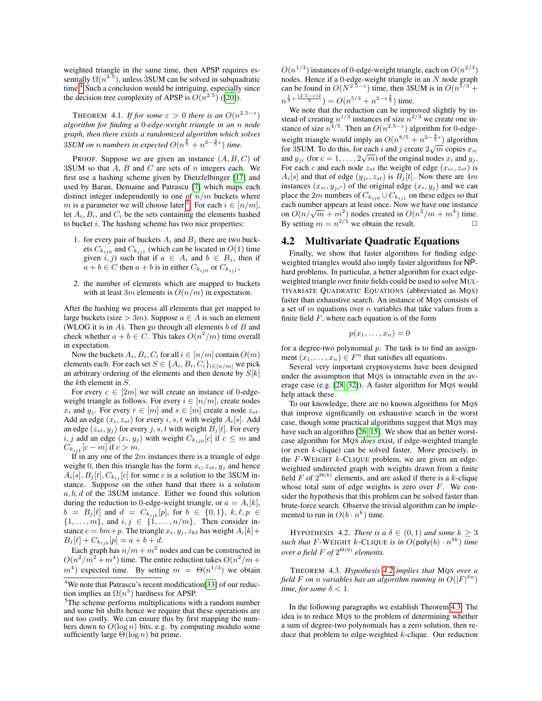weighted triangle in the same time, then APSP requires essentially  $\Omega(n^{2.5})$ , unless 3SUM can be solved in subquadratic time.<sup>[4](#page-7-0)</sup> Such a conclusion would be intriguing, especially since the decision tree complexity of APSP is  $O(n^{2.5})$  ([\[20\]](#page-9-19)).

THEOREM 4.1. *If for some*  $\varepsilon > 0$  *there is an*  $O(n^{2.5-\varepsilon})$ *algorithm for finding a* 0*-edge-weight triangle in an* n *node graph, then there exists a randomized algorithm which solves*  $3SUM$  on  $n$  numbers in expected  $O(n^{\frac{8}{5}} + n^{2-\frac{4}{5}\varepsilon})$  time.

PROOF. Suppose we are given an instance  $(A, B, C)$  of 3SUM so that  $A$ ,  $B$  and  $C$  are sets of  $n$  integers each. We first use a hashing scheme given by Dietzfelbinger [\[17\]](#page-8-17) and used by Baran, Demaine and Patrascu [\[7\]](#page-8-9) which maps each distinct integer independently to one of  $n/m$  buckets where m is a parameter we will choose later <sup>[5](#page-7-1)</sup>. For each  $i \in [n/m]$ , let  $A_i, B_i$ , and  $C_i$  be the sets containing the elements hashed to bucket i. The hashing scheme has two nice properties:

- 1. for every pair of buckets  $A_i$  and  $B_j$  there are two buckets  $C_{k_{ij0}}$  and  $C_{k_{ij1}}$  (which can be located in  $O(1)$  time given  $i, j$ ) such that if  $a \in A_i$  and  $b \in B_j$ , then if  $a + b \in C$  then  $a + b$  is in either  $C_{k_{ij0}}$  or  $C_{k_{ij1}}$ ,
- 2. the number of elements which are mapped to buckets with at least 3m elements is  $O(n/m)$  in expectation.

After the hashing we process all elements that get mapped to large buckets (size > 3*m*). Suppose  $a \in A$  is such an element (WLOG it is in  $A$ ). Then go through all elements  $b$  of  $B$  and check whether  $a + b \in C$ . This takes  $O(n^2/m)$  time overall in expectation.

Now the buckets  $A_i, B_i, C_i$  for all  $i \in [n/m]$  contain  $O(m)$ elements each. For each set  $S \in \{A_i, B_i, C_i\}_{i \in [n/m]}$  we pick an arbitrary ordering of the elements and then denote by  $S[k]$ the kth element in S.

For every  $c \in [2m]$  we will create an instance of 0-edgeweight triangle as follows. For every  $i \in [n/m]$ , create nodes  $x_i$  and  $y_j$ . For every  $r \in [m]$  and  $s \in [m]$  create a node  $z_{st}$ . Add an edge  $(x_i, z_{st})$  for every i, s, t with weight  $A_i[s]$ . Add an edge  $(z_{st}, y_i)$  for every j, s, t with weight  $B_i[t]$ . For every *i*, *j* add an edge  $(x_i, y_j)$  with weight  $C_{k_{ij0}}[c]$  if  $c \leq m$  and  $C_{k_{ij1}}[c-m]$  if  $c>m$ .

If in any one of the  $2m$  instances there is a triangle of edge weight 0, then this triangle has the form  $x_i$ ,  $z_{st}$ ,  $y_j$  and hence  $A_i[s], B_j[t], C_{k_{ij}}[c]$  for some c is a solution to the 3SUM instance. Suppose on the other hand that there is a solution  $a, b, d$  of the 3SUM instance. Either we found this solution during the reduction to 0-edge-weight triangle, or  $a = A_i[k]$ ,  $b = B_j[\ell]$  and  $d = C_{k_{ijb}}[p]$ , for  $b \in \{0,1\}$ ,  $k, \ell, p \in$  $\{1, \ldots, m\}$ , and  $i, j \in \{1, \ldots, n/m\}$ . Then consider instance  $c = bm+p$ . The triangle  $x_i, y_j, z_{k\ell}$  has weight  $A_i[k]+$  $B_j[\ell] + C_{k_{ijk}}[p] = a + b + d.$ 

Each graph has  $n/m + m^2$  nodes and can be constructed in  $O(n^2/m^2 + m^4)$  time. The entire reduction takes  $O(n^2/m +$  $m<sup>4</sup>$ ) expected time. By setting  $m = \Theta(n^{1/3})$  we obtain

 $O(n^{1/3})$  instances of 0-edge-weight triangle, each on  $O(n^{2/3})$ nodes. Hence if a 0-edge-weight triangle in an N node graph can be found in  $O(N^{2.5-\epsilon})$  time, then 3SUM is in  $O(n^{5/3} + \epsilon)$  $n^{\frac{1}{3} + \frac{(2.5 - \varepsilon)2}{3}}$ ) =  $O(n^{5/3} + n^{2-\varepsilon \frac{2}{3}})$  time.

We note that the reduction can be improved slightly by instead of creating  $n^{1/3}$  instances of size  $n^{2/3}$  we create one instance of size  $n^{4/5}$ . Then an  $O(n^{2.5-\epsilon})$  algorithm for 0-edgeweight triangle would imply an  $O(n^{8/5} + n^{2 - \frac{4}{5}\epsilon})$  algorithm weight thange would linply an  $O(n^2 + n^2)$  algorithm<br>for 3SUM. To do this, for each i and j create  $2\sqrt{m}$  copies  $x_{ic}$ and  $y_{j}$  (for  $c = 1, ..., 2\sqrt{m}$ ) of the original nodes  $x_i$  and  $y_j$ . For each c and each node  $z_{st}$  the weight of edge  $(x_{ic}, z_{st})$  is  $A_i[s]$  and that of edge  $(y_{ic}, z_{st})$  is  $B_i[t]$ . Now there are 4m instances  $(x_{ic}, y_{ic})$  of the original edge  $(x_i, y_j)$  and we can place the 2m numbers of  $C_{k_{ij0}}\cup C_{k_{ij1}}$  on these edges so that each number appears at least once. Now we have one instance each humber appears at least once. Now we have one instance<br>on  $O(n/\sqrt{m} + m^2)$  nodes created in  $O(n^2/m + m^4)$  time. By setting  $m = n^{2/5}$  we obtain the result.  $\Box$ 

## 4.2 Multivariate Quadratic Equations

Finally, we show that faster algorithms for finding edgeweighted triangles would also imply faster algorithms for NPhard problems. In particular, a better algorithm for exact edgeweighted triangle over finite fields could be used to solve MUL-TIVARIATE QUADRATIC EQUATIONS (abbreviated as MQS) faster than exhaustive search. An instance of MQS consists of a set of  $m$  equations over  $n$  variables that take values from a finite field  $F$ , where each equation is of the form

$$
p(x_1,\ldots,x_n)=0
$$

for a degree-two polynomial  $p$ . The task is to find an assignment  $(x_1, \ldots, x_n) \in F^n$  that satisfies all equations.

Several very important cryptosystems have been designed under the assumption that MQS is intractable even in the average case (e.g. [\[28,](#page-9-20) [32\]](#page-9-21)). A faster algorithm for MQS would help attack these.

To our knowledge, there are no known algorithms for MQS that improve significantly on exhaustive search in the worst case, though some practical algorithms suggest that MQS may have such an algorithm [\[26,](#page-9-22) [15\]](#page-8-18). We show that an better worstcase algorithm for MQS *does* exist, if edge-weighted triangle (or even k-clique) can be solved faster. More precisely, in the  $F$ -WEIGHT  $k$ -CLIQUE problem, we are given an edgeweighted undirected graph with weights drawn from a finite field F of  $2^{\Theta(b)}$  elements, and are asked if there is a k-clique whose total sum of edge weights is zero over  $F$ . We consider the hypothesis that this problem can be solved faster than brute-force search. Observe the trivial algorithm can be implemented to run in  $O(b \cdot n^k)$  time.

<span id="page-7-2"></span>HYPOTHESIS 4.2. *There is a*  $\delta \in (0,1)$  *and some*  $k \geq 3$ *such that*  $F$ -WEIGHT  $k$ -CLIQUE *is in*  $O(\text{poly}(b) \cdot n^{\delta k})$  *time over a field*  $F$  of  $2^{\Theta(b)}$  elements.

<span id="page-7-3"></span>THEOREM 4.3. *Hypothesis [4.2](#page-7-2) implies that* MQS *over a* field F on  $n$  variables has an algorithm running in  $O(|F|^{\delta n})$ *time, for some*  $\delta$  < 1*.* 

In the following paragraphs we establish Theorem [4.3.](#page-7-3) The idea is to reduce MQS to the problem of determining whether a sum of degree-two polynomials has a zero solution, then reduce that problem to edge-weighted  $k$ -clique. Our reduction

<span id="page-7-0"></span><sup>&</sup>lt;sup>4</sup>We note that Patrascu's recent modification[\[33\]](#page-9-6) of our reduction implies an  $\Omega(n^3)$  hardness for APSP.

<span id="page-7-1"></span><sup>&</sup>lt;sup>5</sup>The scheme performs multiplications with a random number and some bit shifts hence we require that these operations are not too costly. We can ensure this by first mapping the numbers down to  $O(\log n)$  bits, e.g. by computing modulo some sufficiently large  $\Theta(\log n)$  bit prime.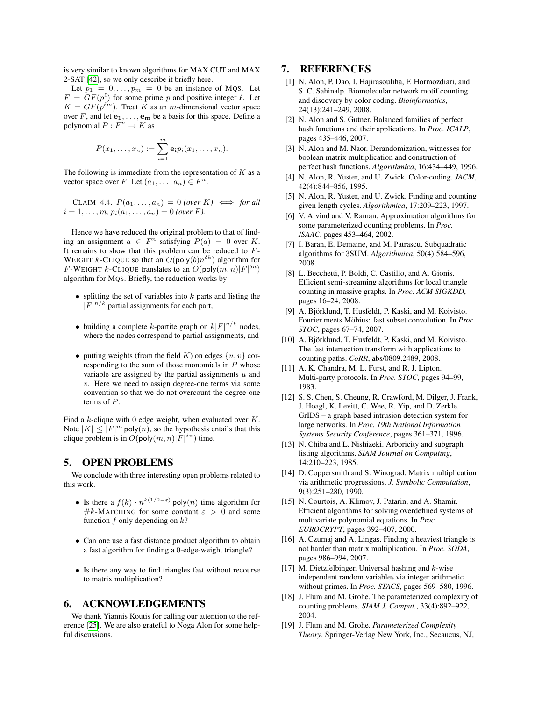is very similar to known algorithms for MAX CUT and MAX 2-SAT [\[42\]](#page-9-23), so we only describe it briefly here.

Let  $p_1 = 0, \ldots, p_m = 0$  be an instance of MQS. Let  $F = GF(p^{\ell})$  for some prime p and positive integer  $\ell$ . Let  $K = GF(p^{\ell m})$ . Treat K as an m-dimensional vector space over F, and let  $e_1, \ldots, e_m$  be a basis for this space. Define a polynomial  $P: F^n \to K$  as

$$
P(x_1,\ldots,x_n):=\sum_{i=1}^m \mathbf{e}_i p_i(x_1,\ldots,x_n).
$$

The following is immediate from the representation of  $K$  as a vector space over F. Let  $(a_1, \ldots, a_n) \in F^n$ .

CLAIM 4.4.  $P(a_1, \ldots, a_n) = 0$  *(over* K)  $\iff$  *for all*  $i = 1, \ldots, m, p_i(a_1, \ldots, a_n) = 0$  *(over F*).

Hence we have reduced the original problem to that of finding an assignment  $a \in F^n$  satisfying  $P(a) = 0$  over K. It remains to show that this problem can be reduced to  $F$ -WEIGHT *k*-CLIQUE so that an  $O(\text{poly}(b)n^{\delta k})$  algorithm for F-WEIGHT k-CLIQUE translates to an  $O(poly(m, n)|F|^{\delta n})$ algorithm for MQS. Briefly, the reduction works by

- splitting the set of variables into  $k$  parts and listing the  $|F|^{n/k}$  partial assignments for each part,
- building a complete k-partite graph on  $k|F|^{n/k}$  nodes, where the nodes correspond to partial assignments, and
- putting weights (from the field  $K$ ) on edges  $\{u, v\}$  corresponding to the sum of those monomials in  $P$  whose variable are assigned by the partial assignments  $u$  and  $v$ . Here we need to assign degree-one terms via some convention so that we do not overcount the degree-one terms of P.

Find a  $k$ -clique with 0 edge weight, when evaluated over  $K$ . Note  $|K| \leq |F|^m$  poly $(n)$ , so the hypothesis entails that this clique problem is in  $O(poly(m, n) | F|^{\delta n})$  time.

## 5. OPEN PROBLEMS

We conclude with three interesting open problems related to this work.

- Is there a  $f(k) \cdot n^{k(1/2-\epsilon)}$  poly $(n)$  time algorithm for #k-MATCHING for some constant  $\varepsilon > 0$  and some function  $f$  only depending on  $k$ ?
- Can one use a fast distance product algorithm to obtain a fast algorithm for finding a 0-edge-weight triangle?
- Is there any way to find triangles fast without recourse to matrix multiplication?

# 6. ACKNOWLEDGEMENTS

We thank Yiannis Koutis for calling our attention to the reference [\[25\]](#page-9-13). We are also grateful to Noga Alon for some helpful discussions.

# 7. REFERENCES

- <span id="page-8-4"></span>[1] N. Alon, P. Dao, I. Hajirasouliha, F. Hormozdiari, and S. C. Sahinalp. Biomolecular network motif counting and discovery by color coding. *Bioinformatics*, 24(13):241–249, 2008.
- <span id="page-8-5"></span>[2] N. Alon and S. Gutner. Balanced families of perfect hash functions and their applications. In *Proc. ICALP*, pages 435–446, 2007.
- <span id="page-8-15"></span>[3] N. Alon and M. Naor. Derandomization, witnesses for boolean matrix multiplication and construction of perfect hash functions. *Algorithmica*, 16:434–449, 1996.
- <span id="page-8-3"></span>[4] N. Alon, R. Yuster, and U. Zwick. Color-coding. *JACM*, 42(4):844–856, 1995.
- <span id="page-8-11"></span>[5] N. Alon, R. Yuster, and U. Zwick. Finding and counting given length cycles. *Algorithmica*, 17:209–223, 1997.
- <span id="page-8-7"></span>[6] V. Arvind and V. Raman. Approximation algorithms for some parameterized counting problems. In *Proc. ISAAC*, pages 453–464, 2002.
- <span id="page-8-9"></span>[7] I. Baran, E. Demaine, and M. Patrascu. Subquadratic algorithms for 3SUM. *Algorithmica*, 50(4):584–596, 2008.
- <span id="page-8-1"></span>[8] L. Becchetti, P. Boldi, C. Castillo, and A. Gionis. Efficient semi-streaming algorithms for local triangle counting in massive graphs. In *Proc. ACM SIGKDD*, pages 16–24, 2008.
- <span id="page-8-14"></span>[9] A. Björklund, T. Husfeldt, P. Kaski, and M. Koivisto. Fourier meets Möbius: fast subset convolution. In *Proc. STOC*, pages 67–74, 2007.
- <span id="page-8-12"></span>[10] A. Björklund, T. Husfeldt, P. Kaski, and M. Koivisto. The fast intersection transform with applications to counting paths. *CoRR*, abs/0809.2489, 2008.
- <span id="page-8-16"></span>[11] A. K. Chandra, M. L. Furst, and R. J. Lipton. Multi-party protocols. In *Proc. STOC*, pages 94–99, 1983.
- <span id="page-8-2"></span>[12] S. S. Chen, S. Cheung, R. Crawford, M. Dilger, J. Frank, J. Hoagl, K. Levitt, C. Wee, R. Yip, and D. Zerkle. GrIDS – a graph based intrusion detection system for large networks. In *Proc. 19th National Information Systems Security Conference*, pages 361–371, 1996.
- <span id="page-8-10"></span>[13] N. Chiba and L. Nishizeki. Arboricity and subgraph listing algorithms. *SIAM Journal on Computing*, 14:210–223, 1985.
- <span id="page-8-0"></span>[14] D. Coppersmith and S. Winograd. Matrix multiplication via arithmetic progressions. *J. Symbolic Computation*, 9(3):251–280, 1990.
- <span id="page-8-18"></span>[15] N. Courtois, A. Klimov, J. Patarin, and A. Shamir. Efficient algorithms for solving overdefined systems of multivariate polynomial equations. In *Proc. EUROCRYPT*, pages 392–407, 2000.
- <span id="page-8-8"></span>[16] A. Czumaj and A. Lingas. Finding a heaviest triangle is not harder than matrix multiplication. In *Proc. SODA*, pages 986–994, 2007.
- <span id="page-8-17"></span>[17] M. Dietzfelbinger. Universal hashing and k-wise independent random variables via integer arithmetic without primes. In *Proc. STACS*, pages 569–580, 1996.
- <span id="page-8-13"></span>[18] J. Flum and M. Grohe. The parameterized complexity of counting problems. *SIAM J. Comput.*, 33(4):892–922, 2004.
- <span id="page-8-6"></span>[19] J. Flum and M. Grohe. *Parameterized Complexity Theory*. Springer-Verlag New York, Inc., Secaucus, NJ,